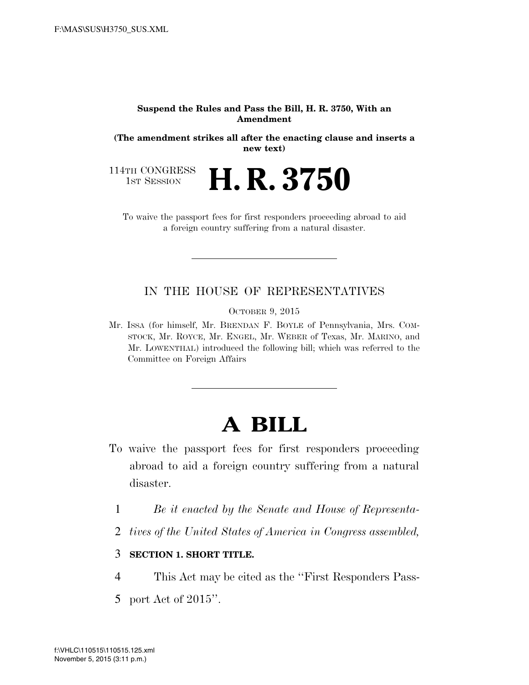#### **Suspend the Rules and Pass the Bill, H. R. 3750, With an Amendment**

**(The amendment strikes all after the enacting clause and inserts a new text)** 

114TH CONGRESS<br>1st Session

H. R. 3750

To waive the passport fees for first responders proceeding abroad to aid a foreign country suffering from a natural disaster.

## IN THE HOUSE OF REPRESENTATIVES

OCTOBER 9, 2015

Mr. ISSA (for himself, Mr. BRENDAN F. BOYLE of Pennsylvania, Mrs. COM-STOCK, Mr. ROYCE, Mr. ENGEL, Mr. WEBER of Texas, Mr. MARINO, and Mr. LOWENTHAL) introduced the following bill; which was referred to the Committee on Foreign Affairs

# **A BILL**

- To waive the passport fees for first responders proceeding abroad to aid a foreign country suffering from a natural disaster.
	- 1 *Be it enacted by the Senate and House of Representa-*
	- 2 *tives of the United States of America in Congress assembled,*

### 3 **SECTION 1. SHORT TITLE.**

- 4 This Act may be cited as the ''First Responders Pass-
- 5 port Act of 2015''.